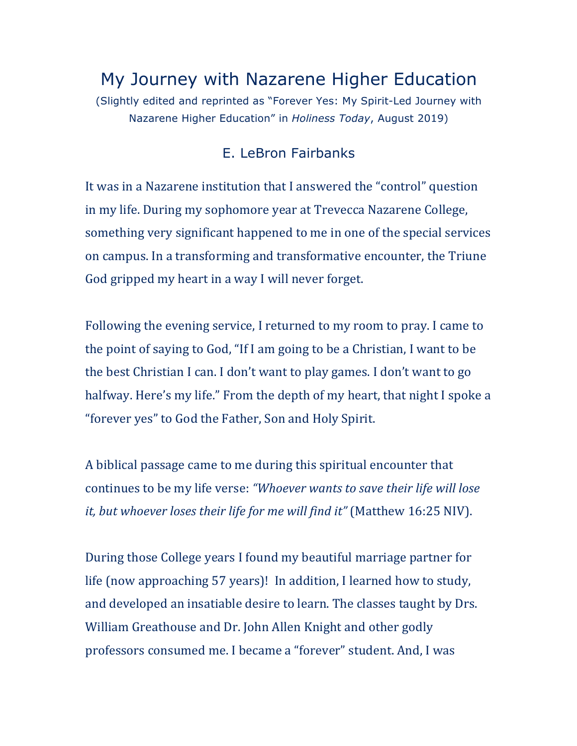## My Journey with Nazarene Higher Education

(Slightly edited and reprinted as "Forever Yes: My Spirit-Led Journey with Nazarene Higher Education" in *Holiness Today*, August 2019)

## E. LeBron Fairbanks

It was in a Nazarene institution that I answered the "control" question in my life. During my sophomore year at Trevecca Nazarene College, something very significant happened to me in one of the special services on campus. In a transforming and transformative encounter, the Triune God gripped my heart in a way I will never forget.

Following the evening service, I returned to my room to pray. I came to the point of saying to God, "If I am going to be a Christian, I want to be the best Christian I can. I don't want to play games. I don't want to go halfway. Here's my life." From the depth of my heart, that night I spoke a "forever yes" to God the Father, Son and Holy Spirit.

A biblical passage came to me during this spiritual encounter that continues to be my life verse: "Whoever wants to save their life will lose *it, but whoever loses their life for me will find it"* (Matthew 16:25 NIV).

During those College years I found my beautiful marriage partner for life (now approaching 57 years)! In addition, I learned how to study, and developed an insatiable desire to learn. The classes taught by Drs. William Greathouse and Dr. John Allen Knight and other godly professors consumed me. I became a "forever" student. And, I was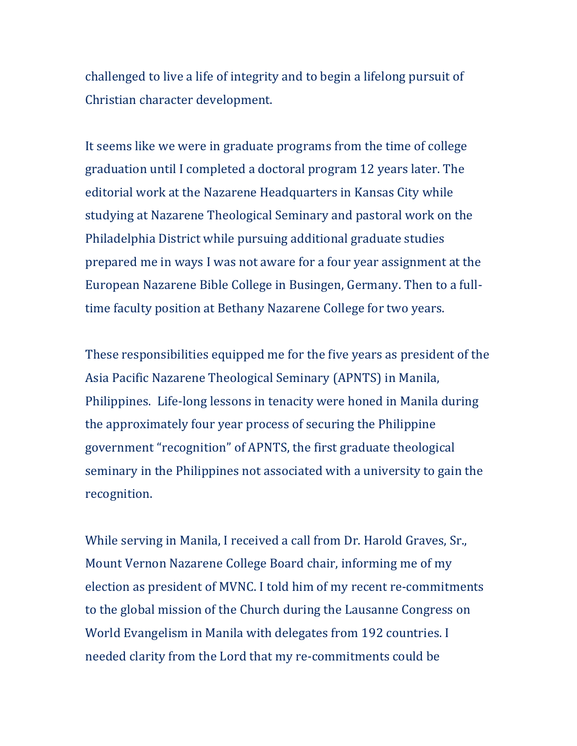challenged to live a life of integrity and to begin a lifelong pursuit of Christian character development.

It seems like we were in graduate programs from the time of college graduation until I completed a doctoral program 12 years later. The editorial work at the Nazarene Headquarters in Kansas City while studying at Nazarene Theological Seminary and pastoral work on the Philadelphia District while pursuing additional graduate studies prepared me in ways I was not aware for a four year assignment at the European Nazarene Bible College in Busingen, Germany. Then to a fulltime faculty position at Bethany Nazarene College for two years.

These responsibilities equipped me for the five years as president of the Asia Pacific Nazarene Theological Seminary (APNTS) in Manila, Philippines. Life-long lessons in tenacity were honed in Manila during the approximately four year process of securing the Philippine government "recognition" of APNTS, the first graduate theological seminary in the Philippines not associated with a university to gain the recognition.

While serving in Manila, I received a call from Dr. Harold Graves, Sr., Mount Vernon Nazarene College Board chair, informing me of my election as president of MVNC. I told him of my recent re-commitments to the global mission of the Church during the Lausanne Congress on World Evangelism in Manila with delegates from 192 countries. I needed clarity from the Lord that my re-commitments could be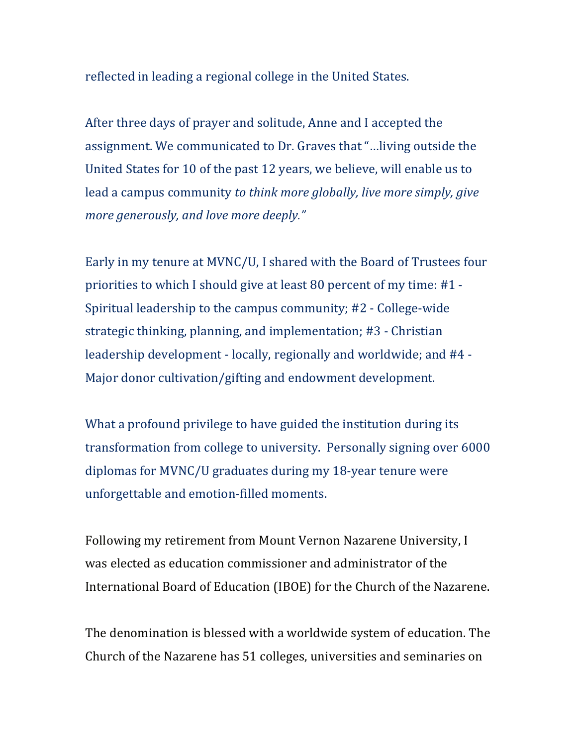reflected in leading a regional college in the United States.

After three days of prayer and solitude, Anne and I accepted the assignment. We communicated to Dr. Graves that "...living outside the United States for 10 of the past 12 years, we believe, will enable us to lead a campus community *to think more globally, live more simply, give more generously, and love more deeply."* 

Early in my tenure at MVNC/U, I shared with the Board of Trustees four priorities to which I should give at least 80 percent of my time:  $\#1$  -Spiritual leadership to the campus community; #2 - College-wide strategic thinking, planning, and implementation; #3 - Christian leadership development - locally, regionally and worldwide; and #4 -Major donor cultivation/gifting and endowment development.

What a profound privilege to have guided the institution during its transformation from college to university. Personally signing over 6000 diplomas for MVNC/U graduates during my 18-year tenure were unforgettable and emotion-filled moments.

Following my retirement from Mount Vernon Nazarene University, I was elected as education commissioner and administrator of the International Board of Education (IBOE) for the Church of the Nazarene.

The denomination is blessed with a worldwide system of education. The Church of the Nazarene has 51 colleges, universities and seminaries on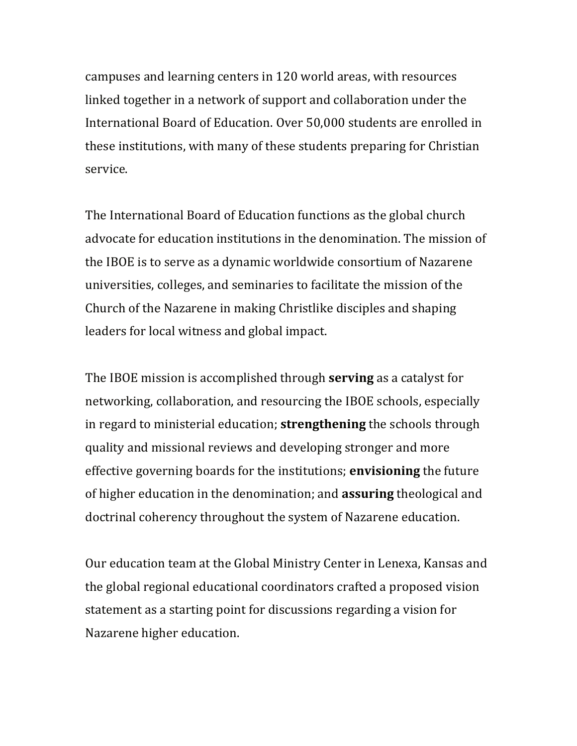campuses and learning centers in 120 world areas, with resources linked together in a network of support and collaboration under the International Board of Education. Over 50,000 students are enrolled in these institutions, with many of these students preparing for Christian service.

The International Board of Education functions as the global church advocate for education institutions in the denomination. The mission of the IBOE is to serve as a dynamic worldwide consortium of Nazarene universities, colleges, and seminaries to facilitate the mission of the Church of the Nazarene in making Christlike disciples and shaping leaders for local witness and global impact.

The IBOE mission is accomplished through **serving** as a catalyst for networking, collaboration, and resourcing the IBOE schools, especially in regard to ministerial education; **strengthening** the schools through quality and missional reviews and developing stronger and more effective governing boards for the institutions; **envisioning** the future of higher education in the denomination; and **assuring** theological and doctrinal coherency throughout the system of Nazarene education.

Our education team at the Global Ministry Center in Lenexa, Kansas and the global regional educational coordinators crafted a proposed vision statement as a starting point for discussions regarding a vision for Nazarene higher education.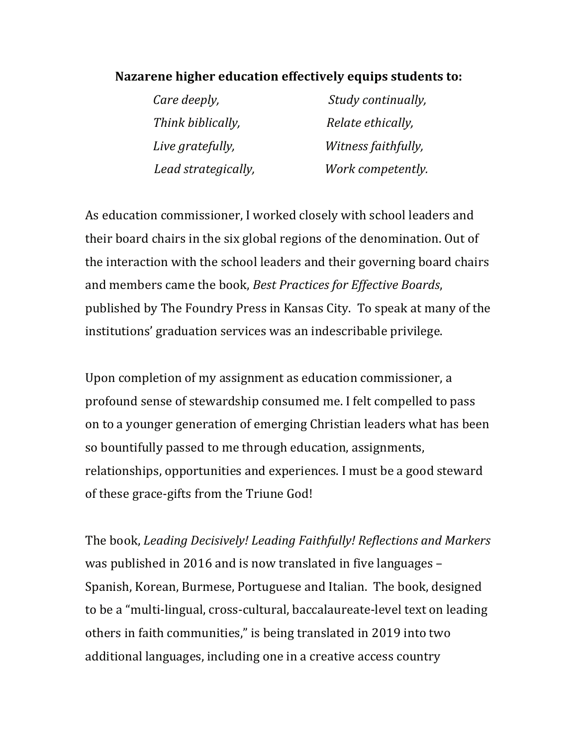## Nazarene higher education effectively equips students to:

| Care deeply,        | Study continually,  |
|---------------------|---------------------|
| Think biblically,   | Relate ethically,   |
| Live gratefully,    | Witness faithfully, |
| Lead strategically, | Work competently.   |

As education commissioner, I worked closely with school leaders and their board chairs in the six global regions of the denomination. Out of the interaction with the school leaders and their governing board chairs and members came the book, *Best Practices for Effective Boards*, published by The Foundry Press in Kansas City. To speak at many of the institutions' graduation services was an indescribable privilege.

Upon completion of my assignment as education commissioner, a profound sense of stewardship consumed me. I felt compelled to pass on to a younger generation of emerging Christian leaders what has been so bountifully passed to me through education, assignments, relationships, opportunities and experiences. I must be a good steward of these grace-gifts from the Triune God!

The book, *Leading Decisively! Leading Faithfully! Reflections and Markers* was published in 2016 and is now translated in five languages – Spanish, Korean, Burmese, Portuguese and Italian. The book, designed to be a "multi-lingual, cross-cultural, baccalaureate-level text on leading others in faith communities," is being translated in 2019 into two additional languages, including one in a creative access country